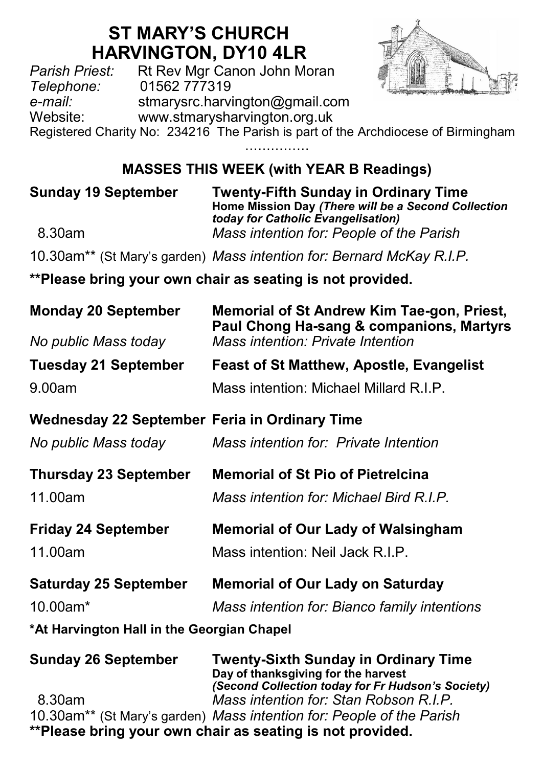# **ST MARY'S CHURCH HARVINGTON, DY10 4LR**<br>*Parish Priest:* Rt Rev Mgr Canon John Mg

Parish Priest: Rt Rev Mgr Canon John Moran<br>Telephone: 01562 777319 *Telephone:* 01562 777319 *e-mail:* stmarysrc.harvington@gmail.com www.stmarysharvington.org.uk



Registered Charity No: 234216 The Parish is part of the Archdiocese of Birmingham

……………

## **MASSES THIS WEEK (with YEAR B Readings)**

**Sunday 19 September Twenty-Fifth Sunday in Ordinary Time Home Mission Day** *(There will be a Second Collection today for Catholic Evangelisation)*  8.30am *Mass intention for: People of the Parish* 

10.30am\*\* (St Mary's garden) *Mass intention for: Bernard McKay R.I.P.*

**\*\*Please bring your own chair as seating is not provided.**

| <b>Monday 20 September</b>                           | Memorial of St Andrew Kim Tae-gon, Priest,                                                                                              |  |  |
|------------------------------------------------------|-----------------------------------------------------------------------------------------------------------------------------------------|--|--|
| No public Mass today                                 | Paul Chong Ha-sang & companions, Martyrs<br>Mass intention: Private Intention                                                           |  |  |
| <b>Tuesday 21 September</b>                          | <b>Feast of St Matthew, Apostle, Evangelist</b>                                                                                         |  |  |
| 9.00am                                               | Mass intention: Michael Millard R.I.P.                                                                                                  |  |  |
| <b>Wednesday 22 September Feria in Ordinary Time</b> |                                                                                                                                         |  |  |
| No public Mass today                                 | Mass intention for: Private Intention                                                                                                   |  |  |
| <b>Thursday 23 September</b>                         | <b>Memorial of St Pio of Pietrelcina</b>                                                                                                |  |  |
| 11.00am                                              | Mass intention for: Michael Bird R.I.P.                                                                                                 |  |  |
| <b>Friday 24 September</b>                           | <b>Memorial of Our Lady of Walsingham</b>                                                                                               |  |  |
| 11.00am                                              | Mass intention: Neil Jack R.I.P.                                                                                                        |  |  |
| <b>Saturday 25 September</b>                         | <b>Memorial of Our Lady on Saturday</b>                                                                                                 |  |  |
| 10.00am*                                             | Mass intention for: Bianco family intentions                                                                                            |  |  |
| *At Harvington Hall in the Georgian Chapel           |                                                                                                                                         |  |  |
| <b>Sunday 26 September</b>                           | <b>Twenty-Sixth Sunday in Ordinary Time</b><br>Day of thanksgiving for the harvest<br>(Second Collection today for Fr Hudson's Society) |  |  |
| 8.30am                                               | Mass intention for: Stan Robson R.I.P.                                                                                                  |  |  |
|                                                      | 10.30am <sup>**</sup> (St Mary's garden) Mass intention for: People of the Parish                                                       |  |  |
|                                                      | **Please bring your own chair as seating is not provided.                                                                               |  |  |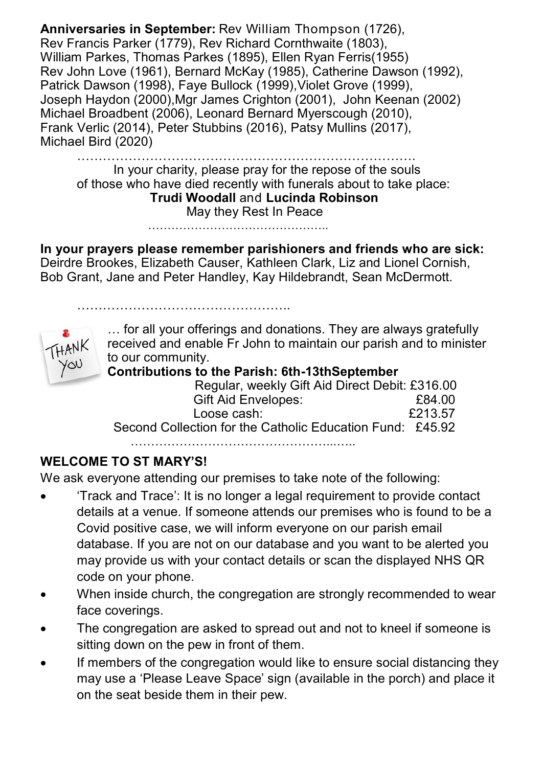**Anniversaries in September:** Rev William Thompson (1726), Rev Francis Parker (1779), Rev Richard Cornthwaite (1803), William Parkes, Thomas Parkes (1895), Ellen Ryan Ferris(1955) Rev John Love (1961), Bernard McKay (1985), Catherine Dawson (1992), Patrick Dawson (1998), Fave Bullock (1999), Violet Grove (1999), Joseph Haydon (2000),Mgr James Crighton (2001), John Keenan (2002) Michael Broadbent (2006), Leonard Bernard Myerscough (2010), Frank Verlic (2014), Peter Stubbins (2016), Patsy Mullins (2017), Michael Bird (2020)

……………………………………………………………………. In your charity, please pray for the repose of the souls of those who have died recently with funerals about to take place: **Trudi Woodall** and **Lucinda Robinson** May they Rest In Peace

………………………………………..

…………………………………………..

**In your prayers please remember parishioners and friends who are sick:**  Deirdre Brookes, Elizabeth Causer, Kathleen Clark, Liz and Lionel Cornish, Bob Grant, Jane and Peter Handley, Kay Hildebrandt, Sean McDermott.



… for all your offerings and donations. They are always gratefully received and enable Fr John to maintain our parish and to minister to our community.

#### **Contributions to the Parish: 6th-13thSeptember**

| Regular, weekly Gift Aid Direct Debit: £316.00            |         |
|-----------------------------------------------------------|---------|
| Gift Aid Envelopes:                                       | £84.00  |
| Loose cash:                                               | £213.57 |
| Second Collection for the Catholic Education Fund: £45.92 |         |
|                                                           |         |

…………………………………………...…..

### **WELCOME TO ST MARY'S!**

We ask everyone attending our premises to take note of the following:

- 'Track and Trace': It is no longer a legal requirement to provide contact details at a venue. If someone attends our premises who is found to be a Covid positive case, we will inform everyone on our parish email database. If you are not on our database and you want to be alerted you may provide us with your contact details or scan the displayed NHS QR code on your phone.
- When inside church, the congregation are strongly recommended to wear face coverings.
- The congregation are asked to spread out and not to kneel if someone is sitting down on the pew in front of them.
- If members of the congregation would like to ensure social distancing they may use a 'Please Leave Space' sign (available in the porch) and place it on the seat beside them in their pew.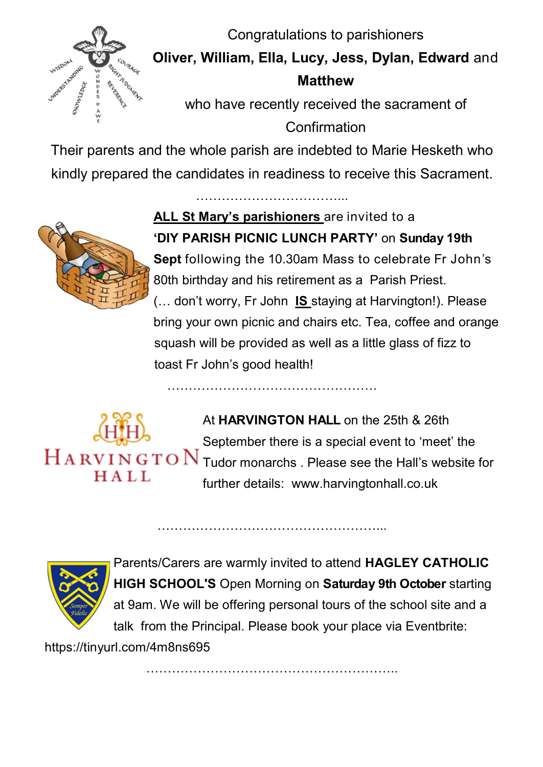Congratulations to parishioners



**Oliver, William, Ella, Lucy, Jess, Dylan, Edward** and **Matthew** 

who have recently received the sacrament of **Confirmation** 

Their parents and the whole parish are indebted to Marie Hesketh who kindly prepared the candidates in readiness to receive this Sacrament.

……………………………...

………………………………………….



**ALL St Mary's parishioners** are invited to a **'DIY PARISH PICNIC LUNCH PARTY'** on **Sunday 19th** 

**Sept** following the 10.30am Mass to celebrate Fr John's 80th birthday and his retirement as a Parish Priest. (… don't worry, Fr John **IS** staying at Harvington!). Please

bring your own picnic and chairs etc. Tea, coffee and orange squash will be provided as well as a little glass of fizz to toast Fr John's good health!



At **HARVINGTON HALL** on the 25th & 26th September there is a special event to 'meet' the  $\rm H\,A\,RV\,I\,N\,G\,T\,O\,N$  Tudor monarchs . Please see the Hall's website for further details: [www.harvingtonhall.co.uk](http://www.harvingtonhall.co.uk/)



Parents/Carers are warmly invited to attend **HAGLEY CATHOLIC HIGH SCHOOL'S** Open Morning on **Saturday 9th October** starting at 9am. We will be offering personal tours of the school site and a talk from the Principal. Please book your place via Eventbrite:

https://tinyurl.com/4m8ns695